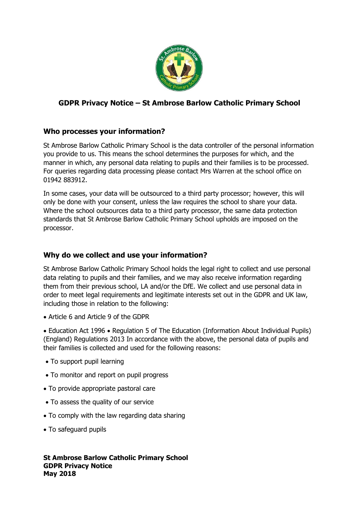

# **GDPR Privacy Notice – St Ambrose Barlow Catholic Primary School**

# **Who processes your information?**

St Ambrose Barlow Catholic Primary School is the data controller of the personal information you provide to us. This means the school determines the purposes for which, and the manner in which, any personal data relating to pupils and their families is to be processed. For queries regarding data processing please contact Mrs Warren at the school office on 01942 883912.

In some cases, your data will be outsourced to a third party processor; however, this will only be done with your consent, unless the law requires the school to share your data. Where the school outsources data to a third party processor, the same data protection standards that St Ambrose Barlow Catholic Primary School upholds are imposed on the processor.

# **Why do we collect and use your information?**

St Ambrose Barlow Catholic Primary School holds the legal right to collect and use personal data relating to pupils and their families, and we may also receive information regarding them from their previous school, LA and/or the DfE. We collect and use personal data in order to meet legal requirements and legitimate interests set out in the GDPR and UK law, including those in relation to the following:

• Article 6 and Article 9 of the GDPR

• Education Act 1996 • Regulation 5 of The Education (Information About Individual Pupils) (England) Regulations 2013 In accordance with the above, the personal data of pupils and their families is collected and used for the following reasons:

- To support pupil learning
- To monitor and report on pupil progress
- To provide appropriate pastoral care
- To assess the quality of our service
- To comply with the law regarding data sharing
- To safeguard pupils

**St Ambrose Barlow Catholic Primary School GDPR Privacy Notice May 2018**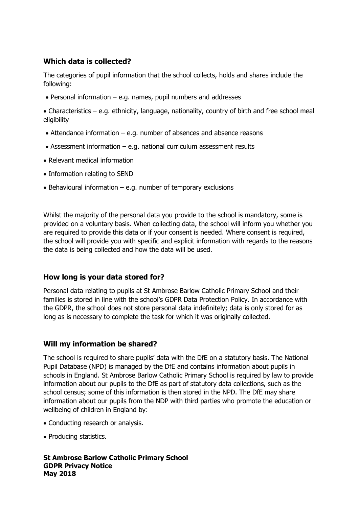## **Which data is collected?**

The categories of pupil information that the school collects, holds and shares include the following:

- $\bullet$  Personal information e.g. names, pupil numbers and addresses
- Characteristics e.g. ethnicity, language, nationality, country of birth and free school meal eligibility
- Attendance information e.g. number of absences and absence reasons
- Assessment information e.g. national curriculum assessment results
- Relevant medical information
- Information relating to SEND
- $\bullet$  Behavioural information e.g. number of temporary exclusions

Whilst the majority of the personal data you provide to the school is mandatory, some is provided on a voluntary basis. When collecting data, the school will inform you whether you are required to provide this data or if your consent is needed. Where consent is required, the school will provide you with specific and explicit information with regards to the reasons the data is being collected and how the data will be used.

## **How long is your data stored for?**

Personal data relating to pupils at St Ambrose Barlow Catholic Primary School and their families is stored in line with the school's GDPR Data Protection Policy. In accordance with the GDPR, the school does not store personal data indefinitely; data is only stored for as long as is necessary to complete the task for which it was originally collected.

## **Will my information be shared?**

The school is required to share pupils' data with the DfE on a statutory basis. The National Pupil Database (NPD) is managed by the DfE and contains information about pupils in schools in England. St Ambrose Barlow Catholic Primary School is required by law to provide information about our pupils to the DfE as part of statutory data collections, such as the school census; some of this information is then stored in the NPD. The DfE may share information about our pupils from the NDP with third parties who promote the education or wellbeing of children in England by:

- Conducting research or analysis.
- Producing statistics.

**St Ambrose Barlow Catholic Primary School GDPR Privacy Notice May 2018**